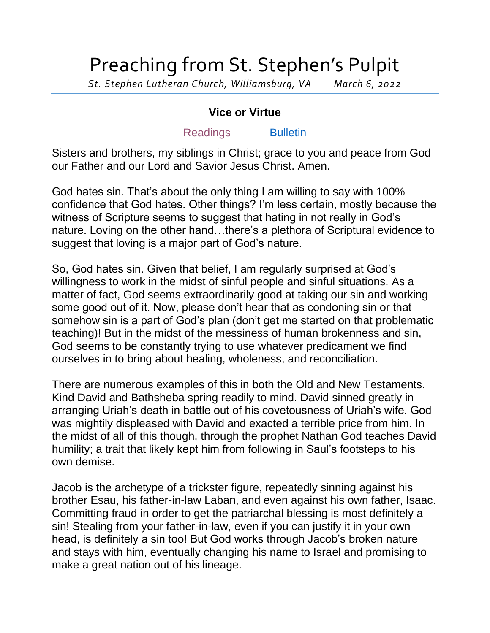## Preaching from St. Stephen's Pulpit

*St. Stephen Lutheran Church, Williamsburg, VA March 6, 2022*

## **Vice or Virtue**

## [Readings](https://lectionary.library.vanderbilt.edu/texts.php?id=118) [Bulletin](http://www.saintstephenlutheran.net/sunday-bulletins/)

Sisters and brothers, my siblings in Christ; grace to you and peace from God our Father and our Lord and Savior Jesus Christ. Amen.

God hates sin. That's about the only thing I am willing to say with 100% confidence that God hates. Other things? I'm less certain, mostly because the witness of Scripture seems to suggest that hating in not really in God's nature. Loving on the other hand…there's a plethora of Scriptural evidence to suggest that loving is a major part of God's nature.

So, God hates sin. Given that belief, I am regularly surprised at God's willingness to work in the midst of sinful people and sinful situations. As a matter of fact, God seems extraordinarily good at taking our sin and working some good out of it. Now, please don't hear that as condoning sin or that somehow sin is a part of God's plan (don't get me started on that problematic teaching)! But in the midst of the messiness of human brokenness and sin, God seems to be constantly trying to use whatever predicament we find ourselves in to bring about healing, wholeness, and reconciliation.

There are numerous examples of this in both the Old and New Testaments. Kind David and Bathsheba spring readily to mind. David sinned greatly in arranging Uriah's death in battle out of his covetousness of Uriah's wife. God was mightily displeased with David and exacted a terrible price from him. In the midst of all of this though, through the prophet Nathan God teaches David humility; a trait that likely kept him from following in Saul's footsteps to his own demise.

Jacob is the archetype of a trickster figure, repeatedly sinning against his brother Esau, his father-in-law Laban, and even against his own father, Isaac. Committing fraud in order to get the patriarchal blessing is most definitely a sin! Stealing from your father-in-law, even if you can justify it in your own head, is definitely a sin too! But God works through Jacob's broken nature and stays with him, eventually changing his name to Israel and promising to make a great nation out of his lineage.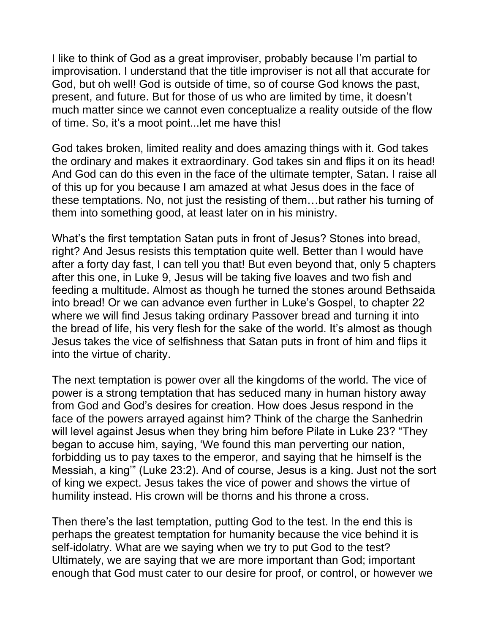I like to think of God as a great improviser, probably because I'm partial to improvisation. I understand that the title improviser is not all that accurate for God, but oh well! God is outside of time, so of course God knows the past, present, and future. But for those of us who are limited by time, it doesn't much matter since we cannot even conceptualize a reality outside of the flow of time. So, it's a moot point...let me have this!

God takes broken, limited reality and does amazing things with it. God takes the ordinary and makes it extraordinary. God takes sin and flips it on its head! And God can do this even in the face of the ultimate tempter, Satan. I raise all of this up for you because I am amazed at what Jesus does in the face of these temptations. No, not just the resisting of them…but rather his turning of them into something good, at least later on in his ministry.

What's the first temptation Satan puts in front of Jesus? Stones into bread, right? And Jesus resists this temptation quite well. Better than I would have after a forty day fast, I can tell you that! But even beyond that, only 5 chapters after this one, in Luke 9, Jesus will be taking five loaves and two fish and feeding a multitude. Almost as though he turned the stones around Bethsaida into bread! Or we can advance even further in Luke's Gospel, to chapter 22 where we will find Jesus taking ordinary Passover bread and turning it into the bread of life, his very flesh for the sake of the world. It's almost as though Jesus takes the vice of selfishness that Satan puts in front of him and flips it into the virtue of charity.

The next temptation is power over all the kingdoms of the world. The vice of power is a strong temptation that has seduced many in human history away from God and God's desires for creation. How does Jesus respond in the face of the powers arrayed against him? Think of the charge the Sanhedrin will level against Jesus when they bring him before Pilate in Luke 23? "They began to accuse him, saying, 'We found this man perverting our nation, forbidding us to pay taxes to the emperor, and saying that he himself is the Messiah, a king'" (Luke 23:2). And of course, Jesus is a king. Just not the sort of king we expect. Jesus takes the vice of power and shows the virtue of humility instead. His crown will be thorns and his throne a cross.

Then there's the last temptation, putting God to the test. In the end this is perhaps the greatest temptation for humanity because the vice behind it is self-idolatry. What are we saying when we try to put God to the test? Ultimately, we are saying that we are more important than God; important enough that God must cater to our desire for proof, or control, or however we